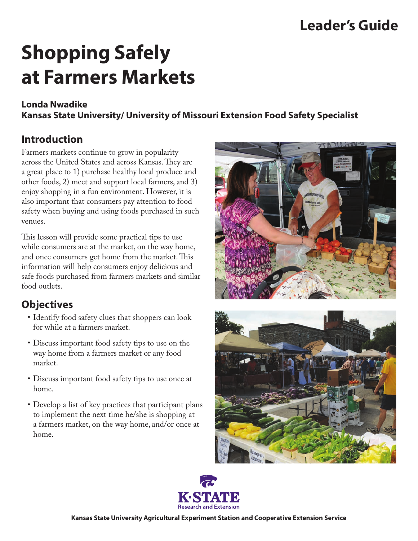## **Leader's Guide**

# **Shopping Safely at Farmers Markets**

### **Londa Nwadike**

**Kansas State University/ University of Missouri Extension Food Safety Specialist**

## **Introduction**

Farmers markets continue to grow in popularity across the United States and across Kansas. They are a great place to 1) purchase healthy local produce and other foods, 2) meet and support local farmers, and 3) enjoy shopping in a fun environment. However, it is also important that consumers pay attention to food safety when buying and using foods purchased in such venues.

This lesson will provide some practical tips to use while consumers are at the market, on the way home, and once consumers get home from the market. This information will help consumers enjoy delicious and safe foods purchased from farmers markets and similar food outlets.

## **Objectives**

- Identify food safety clues that shoppers can look for while at a farmers market.
- • Discuss important food safety tips to use on the way home from a farmers market or any food market.
- • Discuss important food safety tips to use once at home.
- Develop a list of key practices that participant plans to implement the next time he/she is shopping at a farmers market, on the way home, and/or once at home.







**Kansas State University Agricultural Experiment Station and Cooperative Extension Service**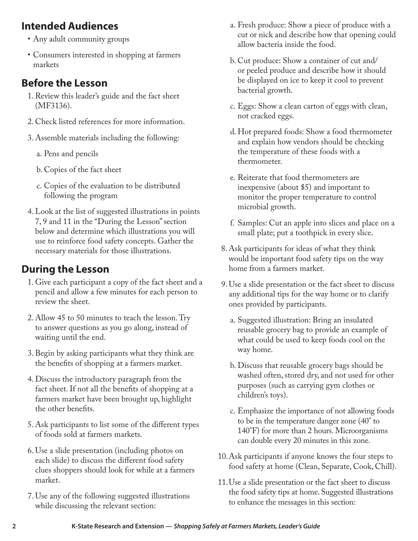## **Intended Audiences**

- • Any adult community groups
- • Consumers interested in shopping at farmers markets

## **Before the Lesson**

- 1.Review this leader's guide and the fact sheet (MF3136).
- 2. Check listed references for more information.
- 3. Assemble materials including the following:
	- a. Pens and pencils
	- b. Copies of the fact sheet
	- c. Copies of the evaluation to be distributed following the program
- 4.Look at the list of suggested illustrations in points 7, 9 and 11 in the "During the Lesson" section below and determine which illustrations you will use to reinforce food safety concepts. Gather the necessary materials for those illustrations.

## **During the Lesson**

- 1. Give each participant a copy of the fact sheet and a pencil and allow a few minutes for each person to review the sheet.
- 2. Allow 45 to 50 minutes to teach the lesson. Try to answer questions as you go along, instead of waiting until the end.
- 3.Begin by asking participants what they think are the benefits of shopping at a farmers market.
- 4. Discuss the introductory paragraph from the fact sheet. If not all the benefits of shopping at a farmers market have been brought up, highlight the other benefits.
- 5. Ask participants to list some of the different types of foods sold at farmers markets.
- 6. Use a slide presentation (including photos on each slide) to discuss the different food safety clues shoppers should look for while at a farmers market.
- 7. Use any of the following suggested illustrations while discussing the relevant section:
- a. Fresh produce: Show a piece of produce with a cut or nick and describe how that opening could allow bacteria inside the food.
- b. Cut produce: Show a container of cut and/ or peeled produce and describe how it should be displayed on ice to keep it cool to prevent bacterial growth.
- c. Eggs: Show a clean carton of eggs with clean, not cracked eggs.
- d.Hot prepared foods: Show a food thermometer and explain how vendors should be checking the temperature of these foods with a thermometer.
- e. Reiterate that food thermometers are inexpensive (about \$5) and important to monitor the proper temperature to control microbial growth.
- f. Samples: Cut an apple into slices and place on a small plate; put a toothpick in every slice.
- 8. Ask participants for ideas of what they think would be important food safety tips on the way home from a farmers market.
- 9. Use a slide presentation or the fact sheet to discuss any additional tips for the way home or to clarify ones provided by participants.
	- a. Suggested illustration: Bring an insulated reusable grocery bag to provide an example of what could be used to keep foods cool on the way home.
	- b. Discuss that reusable grocery bags should be washed often, stored dry, and not used for other purposes (such as carrying gym clothes or children's toys).
	- c. Emphasize the importance of not allowing foods to be in the temperature danger zone (40° to 140°F) for more than 2 hours. Microorganisms can double every 20 minutes in this zone.
- 10.Ask participants if anyone knows the four steps to food safety at home (Clean, Separate, Cook, Chill).
- 11.Use a slide presentation or the fact sheet to discuss the food safety tips at home. Suggested illustrations to enhance the messages in this section: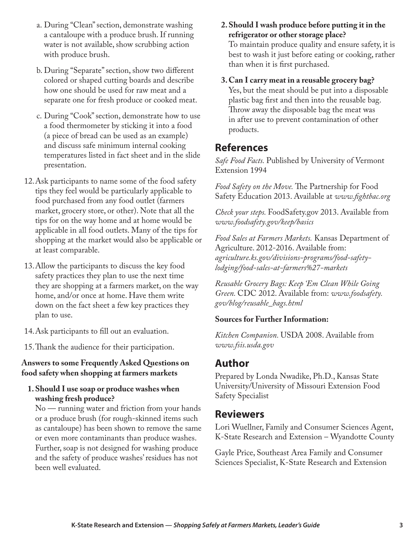- a. During "Clean" section, demonstrate washing a cantaloupe with a produce brush. If running water is not available, show scrubbing action with produce brush.
- b. During "Separate" section, show two different colored or shaped cutting boards and describe how one should be used for raw meat and a separate one for fresh produce or cooked meat.
- c. During "Cook" section, demonstrate how to use a food thermometer by sticking it into a food (a piece of bread can be used as an example) and discuss safe minimum internal cooking temperatures listed in fact sheet and in the slide presentation.
- 12.Ask participants to name some of the food safety tips they feel would be particularly applicable to food purchased from any food outlet (farmers market, grocery store, or other). Note that all the tips for on the way home and at home would be applicable in all food outlets. Many of the tips for shopping at the market would also be applicable or at least comparable.
- 13.Allow the participants to discuss the key food safety practices they plan to use the next time they are shopping at a farmers market, on the way home, and/or once at home. Have them write down on the fact sheet a few key practices they plan to use.
- 14.Ask participants to fill out an evaluation.
- 15.Thank the audience for their participation.

#### **Answers to some Frequently Asked Questions on food safety when shopping at farmers markets**

**1.Should I use soap or produce washes when washing fresh produce?**

No — running water and friction from your hands or a produce brush (for rough-skinned items such as cantaloupe) has been shown to remove the same or even more contaminants than produce washes. Further, soap is not designed for washing produce and the safety of produce washes' residues has not been well evaluated.

- **2.Should I wash produce before putting it in the refrigerator or other storage place?** To maintain produce quality and ensure safety, it is best to wash it just before eating or cooking, rather than when it is first purchased.
- **3.Can I carry meat in a reusable grocery bag?**  Yes, but the meat should be put into a disposable plastic bag first and then into the reusable bag. Throw away the disposable bag the meat was in after use to prevent contamination of other products.

## **References**

*Safe Food Facts.* Published by University of Vermont Extension 1994

*Food Safety on the Move.* The Partnership for Food Safety Education 2013. Available at *www.fightbac.org*

*Check your steps.* FoodSafety.gov 2013. Available from *www.foodsafety.gov/keep/basics*

*Food Sales at Farmers Markets.* Kansas Department of Agriculture. 2012-2016. Available from: *[agriculture.ks.gov/divisions-programs/food-safety](http://agriculture.ks.gov/divisions-programs/food-safety-lodging/food-sales-at-farmers%27-markets)lodging/food-sales-at-farmers%27-markets*

*Reusable Grocery Bags: Keep 'Em Clean While Going Green.* CDC 2012. Available from: *www.foodsafety. gov/blog/reusable\_bags.html* 

#### **Sources for Further Information:**

*Kitchen Companion.* USDA 2008. Available from *www.fsis.usda.gov*

## **Author**

Prepared by Londa Nwadike, Ph.D., Kansas State University/University of Missouri Extension Food Safety Specialist

## **Reviewers**

Lori Wuellner, Family and Consumer Sciences Agent, K-State Research and Extension – Wyandotte County

Gayle Price, Southeast Area Family and Consumer Sciences Specialist, K-State Research and Extension